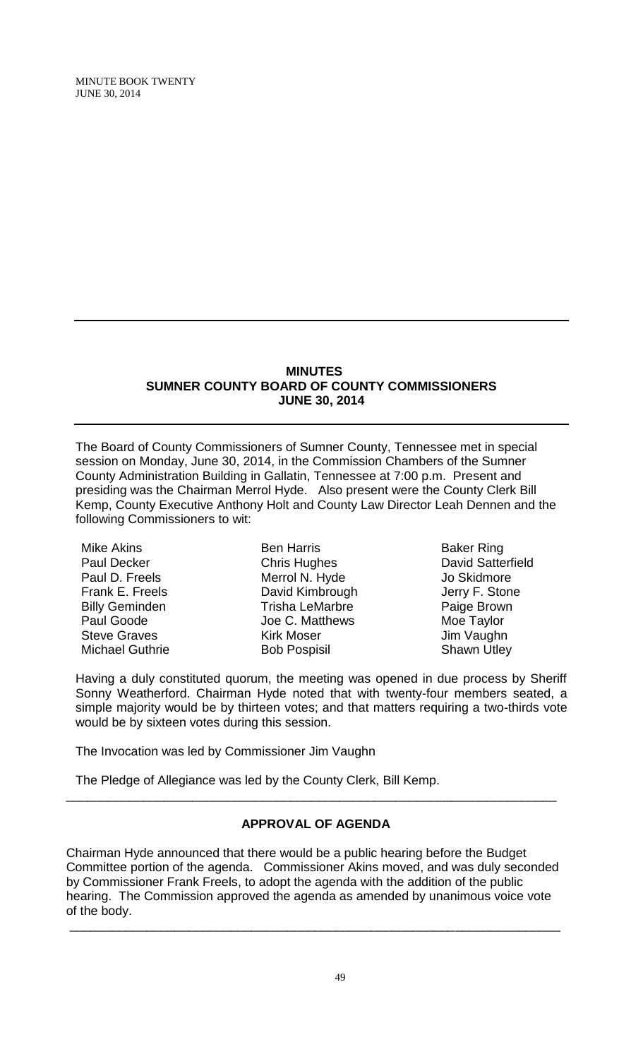### **MINUTES SUMNER COUNTY BOARD OF COUNTY COMMISSIONERS JUNE 30, 2014**

The Board of County Commissioners of Sumner County, Tennessee met in special session on Monday, June 30, 2014, in the Commission Chambers of the Sumner County Administration Building in Gallatin, Tennessee at 7:00 p.m. Present and presiding was the Chairman Merrol Hyde. Also present were the County Clerk Bill Kemp, County Executive Anthony Holt and County Law Director Leah Dennen and the following Commissioners to wit:

Mike Akins Paul Decker Paul D. Freels Frank E. Freels Billy Geminden Paul Goode Steve Graves Michael Guthrie

Ben Harris Chris Hughes Merrol N. Hyde David Kimbrough Trisha LeMarbre Joe C. Matthews Kirk Moser Bob Pospisil

Baker Ring David Satterfield Jo Skidmore Jerry F. Stone Paige Brown Moe Taylor Jim Vaughn Shawn Utley

Having a duly constituted quorum, the meeting was opened in due process by Sheriff Sonny Weatherford. Chairman Hyde noted that with twenty-four members seated, a simple majority would be by thirteen votes; and that matters requiring a two-thirds vote would be by sixteen votes during this session.

The Invocation was led by Commissioner Jim Vaughn

The Pledge of Allegiance was led by the County Clerk, Bill Kemp.

# **APPROVAL OF AGENDA**

\_\_\_\_\_\_\_\_\_\_\_\_\_\_\_\_\_\_\_\_\_\_\_\_\_\_\_\_\_\_\_\_\_\_\_\_\_\_\_\_\_\_\_\_\_\_\_\_\_\_\_\_\_\_\_\_\_\_\_\_\_\_\_\_\_\_\_\_\_\_

Chairman Hyde announced that there would be a public hearing before the Budget Committee portion of the agenda. Commissioner Akins moved, and was duly seconded by Commissioner Frank Freels, to adopt the agenda with the addition of the public hearing. The Commission approved the agenda as amended by unanimous voice vote of the body.

\_\_\_\_\_\_\_\_\_\_\_\_\_\_\_\_\_\_\_\_\_\_\_\_\_\_\_\_\_\_\_\_\_\_\_\_\_\_\_\_\_\_\_\_\_\_\_\_\_\_\_\_\_\_\_\_\_\_\_\_\_\_\_\_\_\_\_\_\_\_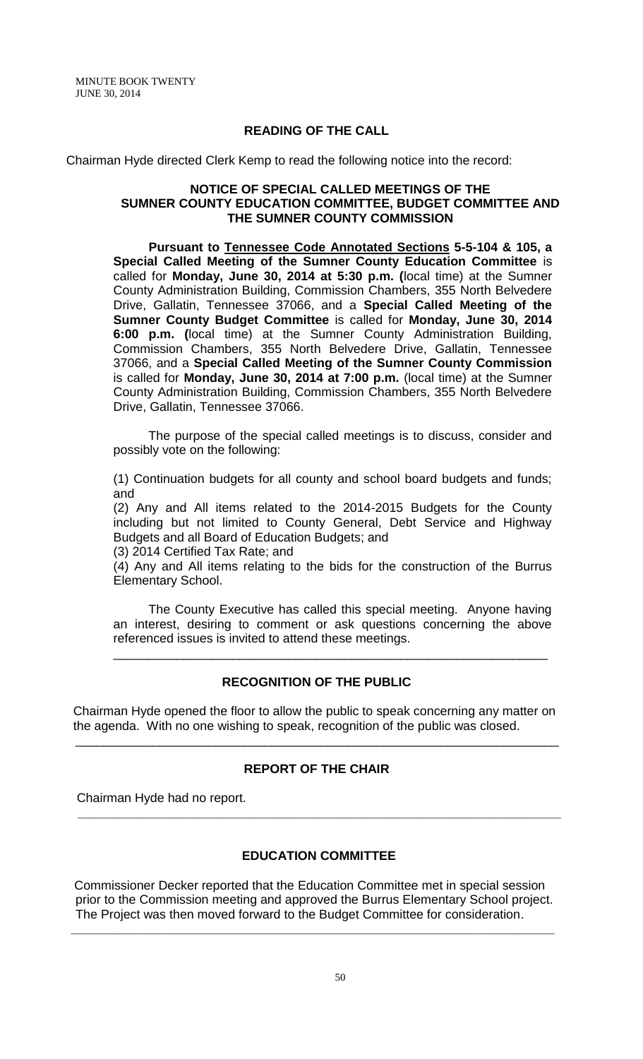## **READING OF THE CALL**

Chairman Hyde directed Clerk Kemp to read the following notice into the record:

### **NOTICE OF SPECIAL CALLED MEETINGS OF THE SUMNER COUNTY EDUCATION COMMITTEE, BUDGET COMMITTEE AND THE SUMNER COUNTY COMMISSION**

 **Pursuant to Tennessee Code Annotated Sections 5-5-104 & 105, a Special Called Meeting of the Sumner County Education Committee** is called for **Monday, June 30, 2014 at 5:30 p.m. (**local time) at the Sumner County Administration Building, Commission Chambers, 355 North Belvedere Drive, Gallatin, Tennessee 37066, and a **Special Called Meeting of the Sumner County Budget Committee** is called for **Monday, June 30, 2014 6:00 p.m. (**local time) at the Sumner County Administration Building, Commission Chambers, 355 North Belvedere Drive, Gallatin, Tennessee 37066, and a **Special Called Meeting of the Sumner County Commission** is called for **Monday, June 30, 2014 at 7:00 p.m.** (local time) at the Sumner County Administration Building, Commission Chambers, 355 North Belvedere Drive, Gallatin, Tennessee 37066.

 The purpose of the special called meetings is to discuss, consider and possibly vote on the following:

(1) Continuation budgets for all county and school board budgets and funds; and

(2) Any and All items related to the 2014-2015 Budgets for the County including but not limited to County General, Debt Service and Highway Budgets and all Board of Education Budgets; and

(3) 2014 Certified Tax Rate; and

(4) Any and All items relating to the bids for the construction of the Burrus Elementary School.

 The County Executive has called this special meeting. Anyone having an interest, desiring to comment or ask questions concerning the above referenced issues is invited to attend these meetings.

\_\_\_\_\_\_\_\_\_\_\_\_\_\_\_\_\_\_\_\_\_\_\_\_\_\_\_\_\_\_\_\_\_\_\_\_\_\_\_\_\_\_\_\_\_\_\_\_\_\_\_\_\_\_\_\_\_\_\_\_\_\_

## **RECOGNITION OF THE PUBLIC**

 Chairman Hyde opened the floor to allow the public to speak concerning any matter on the agenda. With no one wishing to speak, recognition of the public was closed.

\_\_\_\_\_\_\_\_\_\_\_\_\_\_\_\_\_\_\_\_\_\_\_\_\_\_\_\_\_\_\_\_\_\_\_\_\_\_\_\_\_\_\_\_\_\_\_\_\_\_\_\_\_\_\_\_\_\_\_\_\_\_\_\_\_\_\_\_\_

## **REPORT OF THE CHAIR**

 **\_\_\_\_\_\_\_\_\_\_\_\_\_\_\_\_\_\_\_\_\_\_\_\_\_\_\_\_\_\_\_\_\_\_\_\_\_\_\_\_\_\_\_\_\_\_\_\_\_\_\_\_\_\_\_\_\_\_\_\_\_\_\_\_\_\_\_\_\_**

Chairman Hyde had no report.

## **EDUCATION COMMITTEE**

Commissioner Decker reported that the Education Committee met in special session prior to the Commission meeting and approved the Burrus Elementary School project. The Project was then moved forward to the Budget Committee for consideration.

**\_\_\_\_\_\_\_\_\_\_\_\_\_\_\_\_\_\_\_\_\_\_\_\_\_\_\_\_\_\_\_\_\_\_\_\_\_\_\_\_\_\_\_\_\_\_\_\_\_\_\_\_\_\_\_\_\_\_\_\_\_\_\_\_\_\_\_\_\_**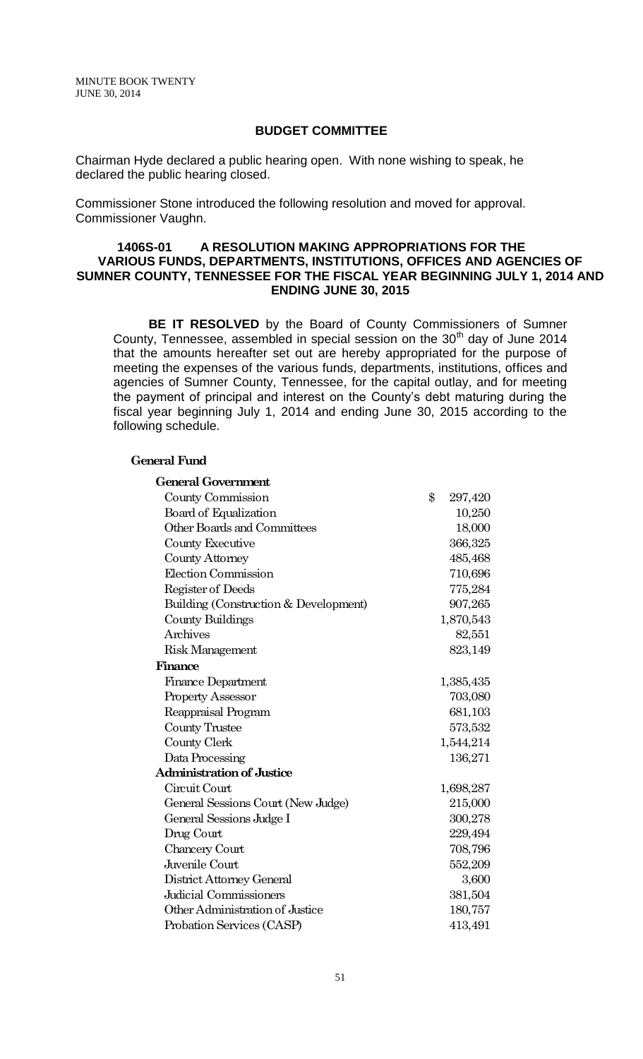### **BUDGET COMMITTEE**

Chairman Hyde declared a public hearing open. With none wishing to speak, he declared the public hearing closed.

Commissioner Stone introduced the following resolution and moved for approval. Commissioner Vaughn.

## **1406S-01 A RESOLUTION MAKING APPROPRIATIONS FOR THE VARIOUS FUNDS, DEPARTMENTS, INSTITUTIONS, OFFICES AND AGENCIES OF SUMNER COUNTY, TENNESSEE FOR THE FISCAL YEAR BEGINNING JULY 1, 2014 AND ENDING JUNE 30, 2015**

 **BE IT RESOLVED** by the Board of County Commissioners of Sumner County, Tennessee, assembled in special session on the 30<sup>th</sup> day of June 2014 that the amounts hereafter set out are hereby appropriated for the purpose of meeting the expenses of the various funds, departments, institutions, offices and agencies of Sumner County, Tennessee, for the capital outlay, and for meeting the payment of principal and interest on the County's debt maturing during the fiscal year beginning July 1, 2014 and ending June 30, 2015 according to the following schedule.

#### **General Fund**

| <b>General Government</b>             |               |           |
|---------------------------------------|---------------|-----------|
| County Commission                     | $\mathbf{\$}$ | 297,420   |
| Board of Equalization                 |               | 10,250    |
| <b>Other Boards and Committees</b>    |               | 18,000    |
| County Executive                      |               | 366,325   |
| County Attorney                       |               | 485,468   |
| Election Commission                   |               | 710,696   |
| Register of Deeds                     |               | 775,284   |
| Building (Construction & Development) |               | 907,265   |
| County Buildings                      |               | 1,870,543 |
| Archives                              |               | 82,551    |
| <b>Risk Management</b>                |               | 823,149   |
| Finance                               |               |           |
| <b>Finance Department</b>             |               | 1,385,435 |
| <b>Property Assessor</b>              |               | 703,080   |
| Reappraisal Program                   |               | 681,103   |
| <b>County Trustee</b>                 |               | 573,532   |
| County Clerk                          |               | 1,544,214 |
| Data Processing                       |               | 136,271   |
| <b>Administration of Justice</b>      |               |           |
| Circuit Court                         |               | 1,698,287 |
| General Sessions Court (New Judge)    |               | 215,000   |
| General Sessions Judge I              |               | 300,278   |
| Drug Court                            |               | 229,494   |
| Chancery Court                        |               | 708,796   |
| Juvenile Court                        |               | 552,209   |
| District Attorney General             |               | 3,600     |
| Judicial Commissioners                |               | 381,504   |
| Other Administration of Justice       |               | 180,757   |
| Probation Services (CASP)             |               | 413,491   |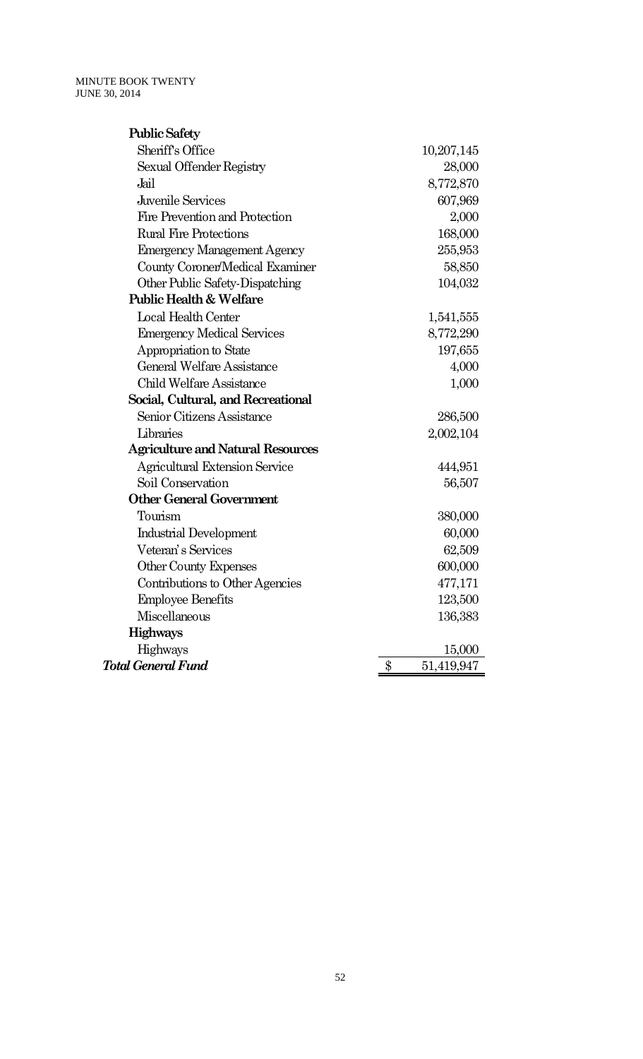| <b>Public Safety</b>                     |                             |
|------------------------------------------|-----------------------------|
| Sheriff's Office                         | 10,207,145                  |
| Sexual Offender Registry                 | 28,000                      |
| Jail                                     | 8,772,870                   |
| Juvenile Services                        | 607,969                     |
| Fire Prevention and Protection           | 2,000                       |
| <b>Rural Fire Protections</b>            | 168,000                     |
| <b>Emergency Management Agency</b>       | 255,953                     |
| <b>County Coroner/Medical Examiner</b>   | 58,850                      |
| Other Public Safety-Dispatching          | 104,032                     |
| <b>Public Health &amp; Welfare</b>       |                             |
| <b>Local Health Center</b>               | 1,541,555                   |
| <b>Emergency Medical Services</b>        | 8,772,290                   |
| Appropriation to State                   | 197,655                     |
| General Welfare Assistance               | 4,000                       |
| <b>Child Welfare Assistance</b>          | 1,000                       |
| Social, Cultural, and Recreational       |                             |
| Senior Citizens Assistance               | 286,500                     |
| Libraries                                | 2,002,104                   |
| <b>Agriculture and Natural Resources</b> |                             |
| <b>Agricultural Extension Service</b>    | 444,951                     |
| Soil Conservation                        | 56,507                      |
| <b>Other General Government</b>          |                             |
| Tourism                                  | 380,000                     |
| <b>Industrial Development</b>            | 60,000                      |
| Veteran's Services                       | 62,509                      |
| Other County Expenses                    | 600,000                     |
| Contributions to Other Agencies          | 477,171                     |
| <b>Employee Benefits</b>                 | 123,500                     |
| Miscellaneous                            | 136,383                     |
| <b>Highways</b>                          |                             |
| Highways                                 | 15,000                      |
| <b>Total General Fund</b>                | $\frac{1}{2}$<br>51,419,947 |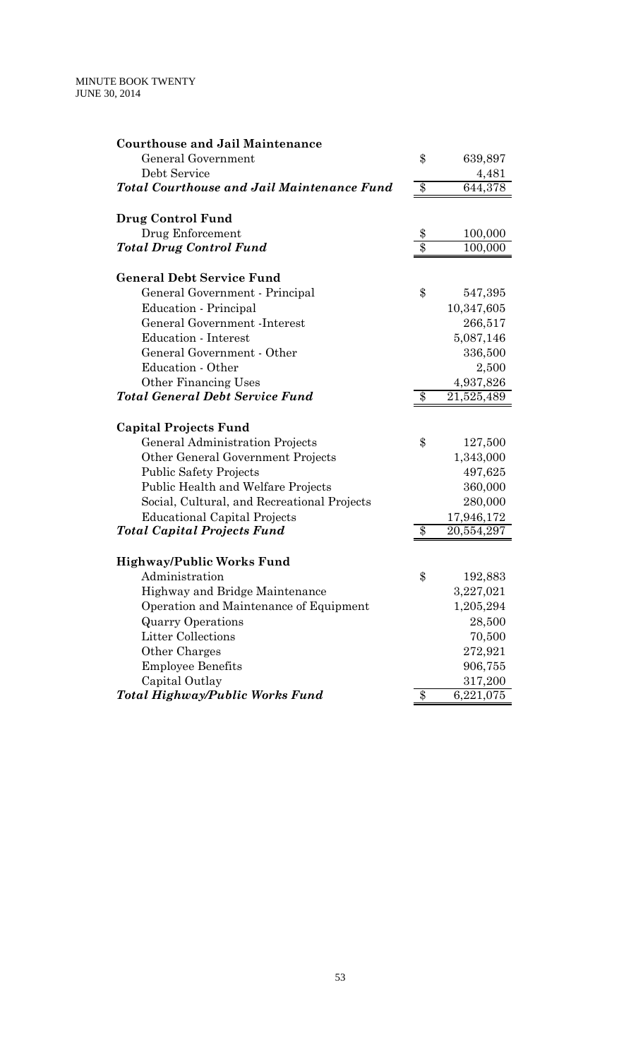| <b>Courthouse and Jail Maintenance</b>            |                 |            |
|---------------------------------------------------|-----------------|------------|
| General Government                                | \$              | 639,897    |
| Debt Service                                      |                 | 4,481      |
| <b>Total Courthouse and Jail Maintenance Fund</b> | $\overline{\$}$ | 644,378    |
| Drug Control Fund                                 |                 |            |
| Drug Enforcement                                  | \$              | 100,000    |
| <b>Total Drug Control Fund</b>                    | $\overline{\$}$ | 100,000    |
| <b>General Debt Service Fund</b>                  |                 |            |
| General Government - Principal                    | \$              | 547,395    |
| Education - Principal                             |                 | 10,347,605 |
| General Government - Interest                     |                 | 266,517    |
| <b>Education</b> - Interest                       |                 | 5,087,146  |
| General Government - Other                        |                 | 336,500    |
| Education - Other                                 |                 | 2,500      |
| <b>Other Financing Uses</b>                       |                 | 4,937,826  |
| <b>Total General Debt Service Fund</b>            | \$              | 21,525,489 |
| <b>Capital Projects Fund</b>                      |                 |            |
| General Administration Projects                   | \$              | 127,500    |
| Other General Government Projects                 |                 | 1,343,000  |
| <b>Public Safety Projects</b>                     |                 | 497,625    |
| Public Health and Welfare Projects                |                 | 360,000    |
| Social, Cultural, and Recreational Projects       |                 | 280,000    |
| <b>Educational Capital Projects</b>               |                 | 17,946,172 |
| Total Capital Projects Fund                       | \$              | 20,554,297 |
| <b>Highway/Public Works Fund</b>                  |                 |            |
| Administration                                    | \$              | 192,883    |
| Highway and Bridge Maintenance                    |                 | 3,227,021  |
| Operation and Maintenance of Equipment            |                 | 1,205,294  |
| <b>Quarry Operations</b>                          |                 | 28,500     |
| <b>Litter Collections</b>                         |                 | 70,500     |
| Other Charges                                     |                 | 272,921    |
| <b>Employee Benefits</b>                          |                 | 906,755    |
| Capital Outlay                                    |                 | 317,200    |
| Total Highway/Public Works Fund                   | \$              | 6,221,075  |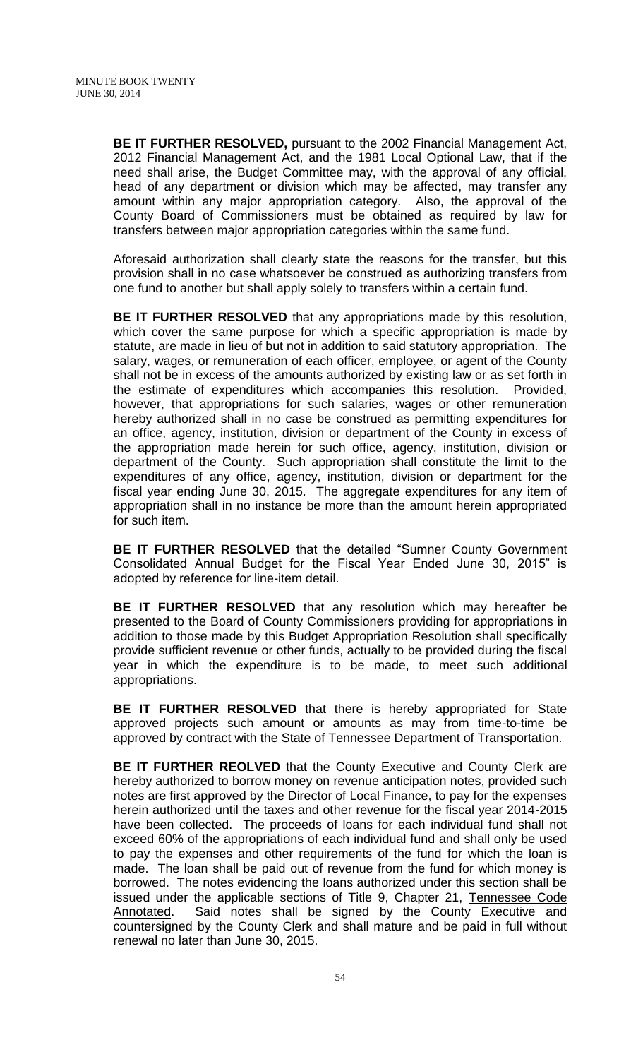**BE IT FURTHER RESOLVED,** pursuant to the 2002 Financial Management Act, 2012 Financial Management Act, and the 1981 Local Optional Law, that if the need shall arise, the Budget Committee may, with the approval of any official, head of any department or division which may be affected, may transfer any amount within any major appropriation category. Also, the approval of the County Board of Commissioners must be obtained as required by law for transfers between major appropriation categories within the same fund.

Aforesaid authorization shall clearly state the reasons for the transfer, but this provision shall in no case whatsoever be construed as authorizing transfers from one fund to another but shall apply solely to transfers within a certain fund.

**BE IT FURTHER RESOLVED** that any appropriations made by this resolution, which cover the same purpose for which a specific appropriation is made by statute, are made in lieu of but not in addition to said statutory appropriation. The salary, wages, or remuneration of each officer, employee, or agent of the County shall not be in excess of the amounts authorized by existing law or as set forth in the estimate of expenditures which accompanies this resolution. Provided, however, that appropriations for such salaries, wages or other remuneration hereby authorized shall in no case be construed as permitting expenditures for an office, agency, institution, division or department of the County in excess of the appropriation made herein for such office, agency, institution, division or department of the County. Such appropriation shall constitute the limit to the expenditures of any office, agency, institution, division or department for the fiscal year ending June 30, 2015. The aggregate expenditures for any item of appropriation shall in no instance be more than the amount herein appropriated for such item.

**BE IT FURTHER RESOLVED** that the detailed "Sumner County Government Consolidated Annual Budget for the Fiscal Year Ended June 30, 2015" is adopted by reference for line-item detail.

**BE IT FURTHER RESOLVED** that any resolution which may hereafter be presented to the Board of County Commissioners providing for appropriations in addition to those made by this Budget Appropriation Resolution shall specifically provide sufficient revenue or other funds, actually to be provided during the fiscal year in which the expenditure is to be made, to meet such additional appropriations.

**BE IT FURTHER RESOLVED** that there is hereby appropriated for State approved projects such amount or amounts as may from time-to-time be approved by contract with the State of Tennessee Department of Transportation.

**BE IT FURTHER REOLVED** that the County Executive and County Clerk are hereby authorized to borrow money on revenue anticipation notes, provided such notes are first approved by the Director of Local Finance, to pay for the expenses herein authorized until the taxes and other revenue for the fiscal year 2014-2015 have been collected. The proceeds of loans for each individual fund shall not exceed 60% of the appropriations of each individual fund and shall only be used to pay the expenses and other requirements of the fund for which the loan is made. The loan shall be paid out of revenue from the fund for which money is borrowed. The notes evidencing the loans authorized under this section shall be issued under the applicable sections of Title 9, Chapter 21, Tennessee Code Annotated. Said notes shall be signed by the County Executive and countersigned by the County Clerk and shall mature and be paid in full without renewal no later than June 30, 2015.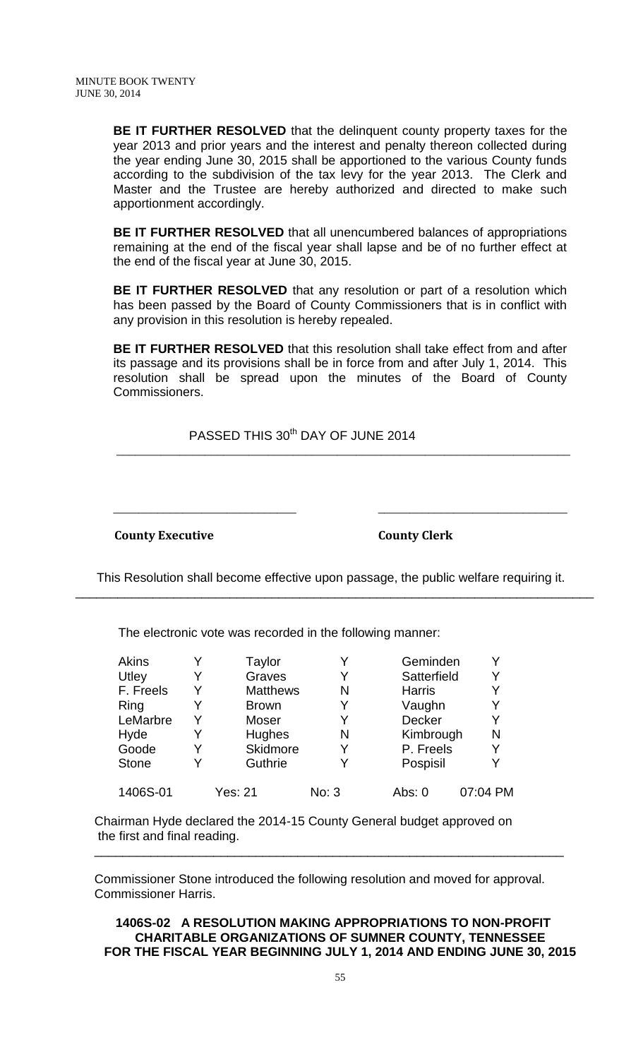**BE IT FURTHER RESOLVED** that the delinquent county property taxes for the year 2013 and prior years and the interest and penalty thereon collected during the year ending June 30, 2015 shall be apportioned to the various County funds according to the subdivision of the tax levy for the year 2013. The Clerk and Master and the Trustee are hereby authorized and directed to make such apportionment accordingly.

**BE IT FURTHER RESOLVED** that all unencumbered balances of appropriations remaining at the end of the fiscal year shall lapse and be of no further effect at the end of the fiscal year at June 30, 2015.

**BE IT FURTHER RESOLVED** that any resolution or part of a resolution which has been passed by the Board of County Commissioners that is in conflict with any provision in this resolution is hereby repealed.

**BE IT FURTHER RESOLVED** that this resolution shall take effect from and after its passage and its provisions shall be in force from and after July 1, 2014. This resolution shall be spread upon the minutes of the Board of County Commissioners.

PASSED THIS 30<sup>th</sup> DAY OF JUNE 2014

\_\_\_\_\_\_\_\_\_\_\_\_\_\_\_\_\_\_\_\_\_\_\_\_\_\_\_\_\_\_\_\_\_\_\_\_\_\_\_\_\_\_\_\_\_\_\_\_\_\_\_\_\_\_\_\_\_\_\_\_\_\_\_\_\_\_\_\_\_\_\_\_

 $\overline{\phantom{a}}$  , and the contract of the contract of the contract of the contract of the contract of the contract of the contract of the contract of the contract of the contract of the contract of the contract of the contrac

**County Executive County Clerk** 

 This Resolution shall become effective upon passage, the public welfare requiring it. \_\_\_\_\_\_\_\_\_\_\_\_\_\_\_\_\_\_\_\_\_\_\_\_\_\_\_\_\_\_\_\_\_\_\_\_\_\_\_\_\_\_\_\_\_\_\_\_\_\_\_\_\_\_\_\_\_\_\_\_\_\_\_\_\_\_\_\_\_\_\_\_\_\_

The electronic vote was recorded in the following manner:

| Akins        | Taylor          |       | Geminden      |          |
|--------------|-----------------|-------|---------------|----------|
| <b>Utley</b> | Graves          | Y     | Satterfield   | Y        |
| F. Freels    | <b>Matthews</b> | N     | <b>Harris</b> |          |
| Ring         | <b>Brown</b>    | Y     | Vaughn        | Y        |
| LeMarbre     | Moser           | Y     | <b>Decker</b> | Y        |
| Hyde         | Hughes          | N     | Kimbrough     | N        |
| Goode        | Skidmore        | Y     | P. Freels     |          |
| <b>Stone</b> | Guthrie         | Y     | Pospisil      | V        |
| 1406S-01     | <b>Yes: 21</b>  | No: 3 | Abs: $0$      | 07:04 PM |

Chairman Hyde declared the 2014-15 County General budget approved on the first and final reading.

Commissioner Stone introduced the following resolution and moved for approval. Commissioner Harris.

\_\_\_\_\_\_\_\_\_\_\_\_\_\_\_\_\_\_\_\_\_\_\_\_\_\_\_\_\_\_\_\_\_\_\_\_\_\_\_\_\_\_\_\_\_\_\_\_\_\_\_\_\_\_\_\_\_\_\_\_\_\_\_\_\_\_\_

**1406S-02 A RESOLUTION MAKING APPROPRIATIONS TO NON-PROFIT CHARITABLE ORGANIZATIONS OF SUMNER COUNTY, TENNESSEE FOR THE FISCAL YEAR BEGINNING JULY 1, 2014 AND ENDING JUNE 30, 2015**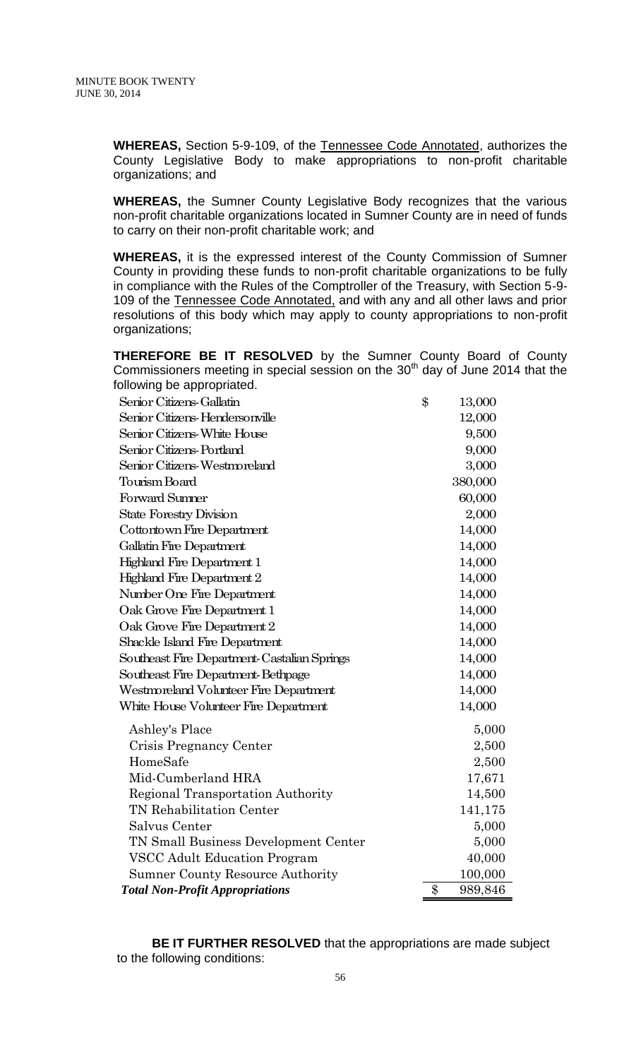**WHEREAS,** Section 5-9-109, of the Tennessee Code Annotated, authorizes the County Legislative Body to make appropriations to non-profit charitable organizations; and

**WHEREAS,** the Sumner County Legislative Body recognizes that the various non-profit charitable organizations located in Sumner County are in need of funds to carry on their non-profit charitable work; and

**WHEREAS,** it is the expressed interest of the County Commission of Sumner County in providing these funds to non-profit charitable organizations to be fully in compliance with the Rules of the Comptroller of the Treasury, with Section 5-9- 109 of the Tennessee Code Annotated, and with any and all other laws and prior resolutions of this body which may apply to county appropriations to non-profit organizations;

**THEREFORE BE IT RESOLVED** by the Sumner County Board of County Commissioners meeting in special session on the  $30<sup>th</sup>$  day of June 2014 that the following be appropriated.

| Senior Citizens-Gallatin                    | \$             | 13,000  |
|---------------------------------------------|----------------|---------|
| Senior Citizens-Hendersonville              |                | 12,000  |
| Senior Citizens-White House                 |                | 9,500   |
| Senior Citizens-Portland                    |                | 9,000   |
| Senior Citizens-Westmoreland                |                | 3,000   |
| Tourism Board                               |                | 380,000 |
| <b>Forward Sumner</b>                       |                | 60,000  |
| <b>State Forestry Division</b>              |                | 2,000   |
| Cottontown Fire Department                  |                | 14,000  |
| <b>Gallatin Fire Department</b>             |                | 14,000  |
| <b>Highland Fire Department 1</b>           |                | 14,000  |
| <b>Highland Fire Department 2</b>           |                | 14,000  |
| Number One Fire Department                  |                | 14,000  |
| Oak Grove Fire Department 1                 |                | 14,000  |
| Oak Grove Fire Department 2                 |                | 14,000  |
| Shackle Island Fire Department              |                | 14,000  |
| Southeast Fire Department Castalian Springs |                | 14,000  |
| Southeast Fire Department-Bethpage          |                | 14,000  |
| Westmoreland Volunteer Fire Department      |                | 14,000  |
| White House Volunteer Fire Department       |                | 14,000  |
| Ashley's Place                              |                | 5,000   |
| Crisis Pregnancy Center                     |                | 2,500   |
| HomeSafe                                    |                | 2,500   |
| Mid-Cumberland HRA                          |                | 17,671  |
| Regional Transportation Authority           |                | 14,500  |
| TN Rehabilitation Center                    |                | 141,175 |
| Salvus Center                               |                | 5,000   |
| TN Small Business Development Center        |                | 5,000   |
| <b>VSCC Adult Education Program</b>         |                | 40,000  |
| <b>Sumner County Resource Authority</b>     |                | 100,000 |
| <b>Total Non-Profit Appropriations</b>      | $\mathbf{\$\}$ | 989,846 |

 **BE IT FURTHER RESOLVED** that the appropriations are made subject to the following conditions: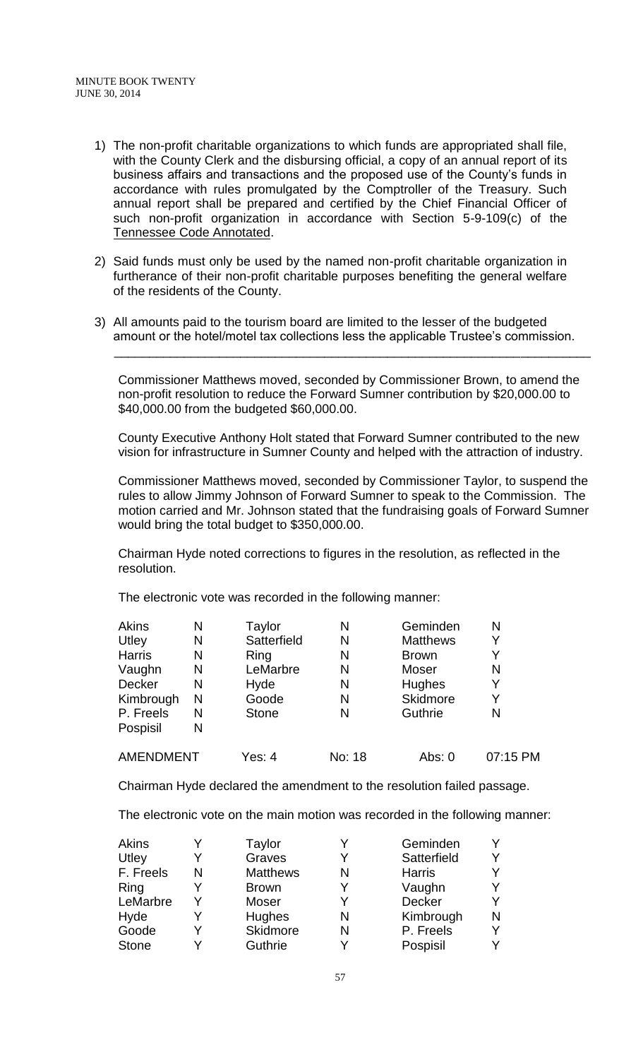- 1) The non-profit charitable organizations to which funds are appropriated shall file, with the County Clerk and the disbursing official, a copy of an annual report of its business affairs and transactions and the proposed use of the County's funds in accordance with rules promulgated by the Comptroller of the Treasury. Such annual report shall be prepared and certified by the Chief Financial Officer of such non-profit organization in accordance with Section 5-9-109(c) of the Tennessee Code Annotated.
- 2) Said funds must only be used by the named non-profit charitable organization in furtherance of their non-profit charitable purposes benefiting the general welfare of the residents of the County.
- 3) All amounts paid to the tourism board are limited to the lesser of the budgeted amount or the hotel/motel tax collections less the applicable Trustee's commission.

\_\_\_\_\_\_\_\_\_\_\_\_\_\_\_\_\_\_\_\_\_\_\_\_\_\_\_\_\_\_\_\_\_\_\_\_\_\_\_\_\_\_\_\_\_\_\_\_\_\_\_\_\_\_\_\_\_\_\_\_\_\_\_\_\_\_\_\_

Commissioner Matthews moved, seconded by Commissioner Brown, to amend the non-profit resolution to reduce the Forward Sumner contribution by \$20,000.00 to \$40,000.00 from the budgeted \$60,000.00.

County Executive Anthony Holt stated that Forward Sumner contributed to the new vision for infrastructure in Sumner County and helped with the attraction of industry.

Commissioner Matthews moved, seconded by Commissioner Taylor, to suspend the rules to allow Jimmy Johnson of Forward Sumner to speak to the Commission. The motion carried and Mr. Johnson stated that the fundraising goals of Forward Sumner would bring the total budget to \$350,000.00.

Chairman Hyde noted corrections to figures in the resolution, as reflected in the resolution.

The electronic vote was recorded in the following manner:

| Ν                | Taylor       | Ν      | Geminden        | N        |
|------------------|--------------|--------|-----------------|----------|
| N                | Satterfield  | N      | <b>Matthews</b> |          |
| N                | Ring         | N      | <b>Brown</b>    |          |
| N                | LeMarbre     | N      | Moser           | N        |
| N                | Hyde         | N      | <b>Hughes</b>   |          |
| N                | Goode        | N      | Skidmore        | Y        |
| N                | <b>Stone</b> | N      | Guthrie         | N        |
| N                |              |        |                 |          |
| <b>AMENDMENT</b> | Yes: 4       | No: 18 | Abs: $0$        | 07:15 PM |
|                  |              |        |                 |          |

Chairman Hyde declared the amendment to the resolution failed passage.

The electronic vote on the main motion was recorded in the following manner:

| <b>Akins</b> |   | Taylor          |   | Geminden      | Y |
|--------------|---|-----------------|---|---------------|---|
| Utley        |   | Graves          | Y | Satterfield   | Y |
| F. Freels    | N | <b>Matthews</b> | N | <b>Harris</b> | Y |
| Ring         |   | <b>Brown</b>    | Y | Vaughn        | Y |
| LeMarbre     |   | Moser           | Υ | Decker        | Y |
| Hyde         |   | <b>Hughes</b>   | N | Kimbrough     | N |
| Goode        |   | Skidmore        | N | P. Freels     | Y |
| <b>Stone</b> |   | Guthrie         |   | Pospisil      | Y |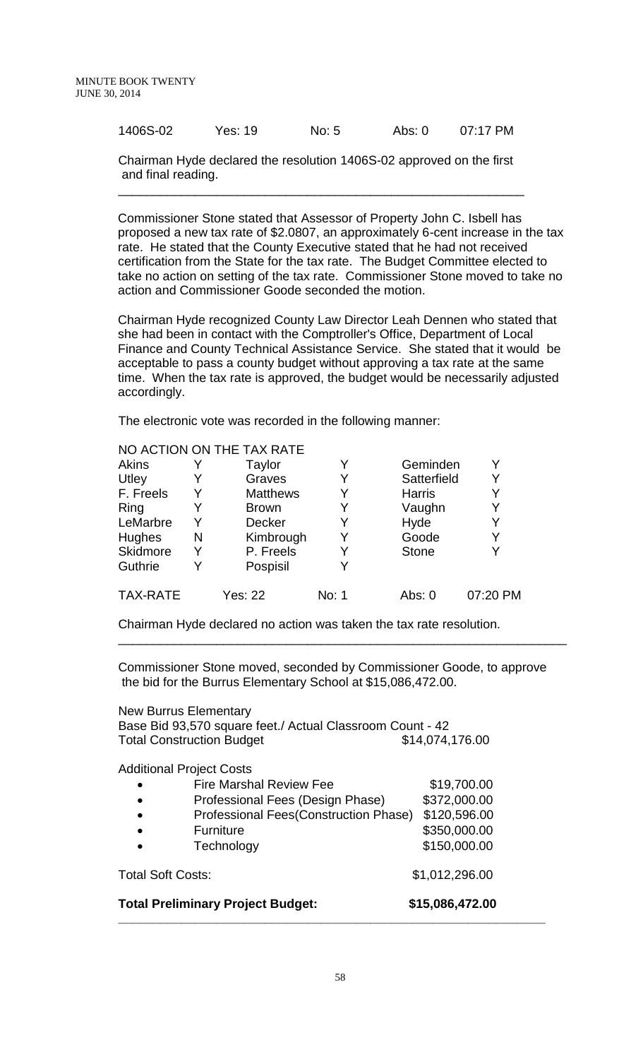| 1406S-02 | Yes: 19 | No: 5 | Abs: $0$ | 07:17 PM |
|----------|---------|-------|----------|----------|
|          |         |       |          |          |

Chairman Hyde declared the resolution 1406S-02 approved on the first and final reading.

\_\_\_\_\_\_\_\_\_\_\_\_\_\_\_\_\_\_\_\_\_\_\_\_\_\_\_\_\_\_\_\_\_\_\_\_\_\_\_\_\_\_\_\_\_\_\_\_\_\_\_\_\_\_\_\_\_\_

Commissioner Stone stated that Assessor of Property John C. Isbell has proposed a new tax rate of \$2.0807, an approximately 6-cent increase in the tax rate. He stated that the County Executive stated that he had not received certification from the State for the tax rate. The Budget Committee elected to take no action on setting of the tax rate. Commissioner Stone moved to take no action and Commissioner Goode seconded the motion.

Chairman Hyde recognized County Law Director Leah Dennen who stated that she had been in contact with the Comptroller's Office, Department of Local Finance and County Technical Assistance Service. She stated that it would be acceptable to pass a county budget without approving a tax rate at the same time. When the tax rate is approved, the budget would be necessarily adjusted accordingly.

The electronic vote was recorded in the following manner:

|                 |   | NO ACTION ON THE TAX RATE |       |               |          |
|-----------------|---|---------------------------|-------|---------------|----------|
| Akins           |   | <b>Taylor</b>             | Y     | Geminden      | Y        |
| Utley           |   | Graves                    | Y     | Satterfield   | Y        |
| F. Freels       |   | <b>Matthews</b>           | Y     | <b>Harris</b> | Y        |
| Ring            |   | <b>Brown</b>              | Y     | Vaughn        | Y        |
| LeMarbre        | Y | <b>Decker</b>             | Y     | Hyde          | Y        |
| Hughes          | N | Kimbrough                 | Y     | Goode         | Y        |
| Skidmore        |   | P. Freels                 | Y     | <b>Stone</b>  | Y        |
| Guthrie         | Y | Pospisil                  | Y     |               |          |
| <b>TAX-RATE</b> |   | Yes: 22                   | No: 1 | Abs: 0        | 07:20 PM |

Chairman Hyde declared no action was taken the tax rate resolution.

Commissioner Stone moved, seconded by Commissioner Goode, to approve the bid for the Burrus Elementary School at \$15,086,472.00.

\_\_\_\_\_\_\_\_\_\_\_\_\_\_\_\_\_\_\_\_\_\_\_\_\_\_\_\_\_\_\_\_\_\_\_\_\_\_\_\_\_\_\_\_\_\_\_\_\_\_\_\_\_\_\_\_\_\_\_\_\_\_\_\_

| <b>New Burrus Elementary</b>    |                                                                                               |                 |
|---------------------------------|-----------------------------------------------------------------------------------------------|-----------------|
|                                 | Base Bid 93,570 square feet./ Actual Classroom Count - 42<br><b>Total Construction Budget</b> | \$14,074,176.00 |
| <b>Additional Project Costs</b> |                                                                                               |                 |
|                                 | <b>Fire Marshal Review Fee</b>                                                                | \$19,700.00     |
|                                 | Professional Fees (Design Phase)                                                              | \$372,000.00    |
|                                 | <b>Professional Fees(Construction Phase)</b>                                                  | \$120,596.00    |
|                                 | <b>Furniture</b>                                                                              | \$350,000.00    |
|                                 | Technology                                                                                    | \$150,000.00    |
| <b>Total Soft Costs:</b>        |                                                                                               | \$1,012,296.00  |
|                                 | <b>Total Preliminary Project Budget:</b>                                                      | \$15,086,472.00 |